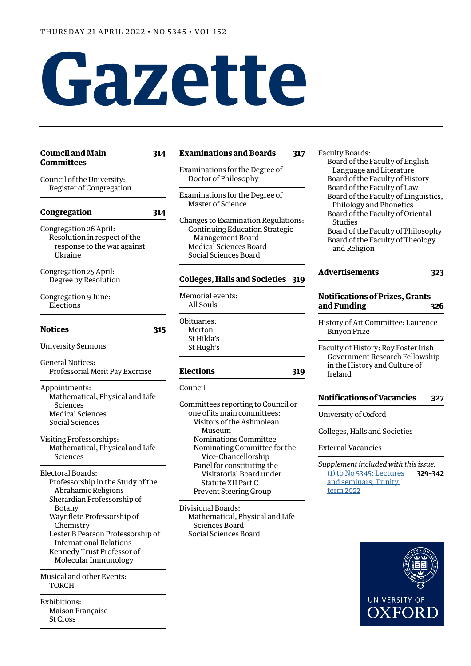# **Gazette**

| Council and Main<br><b>Committees</b>                                                                                                                                                                                                                                                          | 314 |
|------------------------------------------------------------------------------------------------------------------------------------------------------------------------------------------------------------------------------------------------------------------------------------------------|-----|
| Council of the University:                                                                                                                                                                                                                                                                     |     |
| Register of Congregation                                                                                                                                                                                                                                                                       |     |
| Congregation                                                                                                                                                                                                                                                                                   | 314 |
| Congregation 26 April:<br>Resolution in respect of the<br>response to the war against<br>Ukraine                                                                                                                                                                                               |     |
| Congregation 25 April:<br>Degree by Resolution                                                                                                                                                                                                                                                 |     |
| Congregation 9 June:<br>Elections                                                                                                                                                                                                                                                              |     |
| Notices                                                                                                                                                                                                                                                                                        | 315 |
| <b>University Sermons</b>                                                                                                                                                                                                                                                                      |     |
| <b>General Notices:</b><br>Professorial Merit Pay Exercise                                                                                                                                                                                                                                     |     |
| Appointments:<br>Mathematical, Physical and Life<br>Sciences<br><b>Medical Sciences</b><br>Social Sciences                                                                                                                                                                                     |     |
| Visiting Professorships:<br>Mathematical, Physical and Life<br>Sciences                                                                                                                                                                                                                        |     |
| Electoral Boards:<br>Professorship in the Study of the<br>Abrahamic Religions<br>Sherardian Professorship of<br>Botany<br>Waynflete Professorship of<br>Chemistry<br>Lester B Pearson Professorship of<br><b>International Relations</b><br>Kennedy Trust Professor of<br>Molecular Immunology |     |
| Musical and other Events:<br><b>TORCH</b>                                                                                                                                                                                                                                                      |     |

[Exhibitions:](#page-4-0) [Maison Française](#page-4-0) [St Cross](#page-4-0)

#### **[Examinations and Boards](#page-4-0) 317**

[Examinations for the Degree of](#page-4-0)  [Doctor of Philosophy](#page-4-0)

[Examinations for the Degree of](#page-5-0)  [Master of Science](#page-5-0)

[Changes to Examination Regulations:](#page-5-0) [Continuing Education Strategic](#page-5-0) [Management Board](#page-5-0) [Medical Sciences Board](#page-5-0) [Social Sciences Board](#page-5-0)

#### **[Colleges, Halls and Societies](#page-6-0) 319**

[Memorial events:](#page-6-0) [All Souls](#page-6-0)

[Obituaries:](#page-6-0) [Merton](#page-6-0) [St Hilda's](#page-6-0) [St Hugh's](#page-6-0)

#### **[Elections](#page-6-0) 319**

[Council](#page-6-0)

[Committees reporting to Council or](#page-6-0)  [one of its main committees](#page-6-0): [Visitors of the Ashmolean](#page-6-0)   [Museum](#page-6-0) [Nominations Committee](#page-7-0) [Nominating Committee for the](#page-7-0)  [Vice-Chancellorship](#page-7-0) [Panel for constituting the](#page-7-0)  [Visitatorial Board under](#page-7-0)   [Statute XII](#page-7-0) Part C [Prevent Steering Group](#page-8-0)

[Divisional Boards:](#page-8-0) [Mathematical, Physical and Life](#page-8-0) [Sciences Board](#page-8-0) [Social Sciences Board](#page-8-0)

#### [Faculty Boards:](#page-9-0)

[Board of the Faculty of English](#page-9-0)  [Language and Literature](#page-9-0) [Board of the Faculty of History](#page-9-0) [Board of the Faculty of Law](#page-9-0) [Board of the Faculty of Linguistics,](#page-9-0)   [Philology and Phonetics](#page-9-0) [Board of the Faculty of Oriental](#page-9-0) **[Studies](#page-9-0)** [Board of the Faculty of Philosophy](#page-9-0) [Board of the Faculty of Theology](#page-9-0) [and Religion](#page-9-0)

| Advertisements | 323 |
|----------------|-----|
|                |     |

## **[Notifications of Prizes, Grants](#page-13-0)  [and Funding](#page-13-0) 326**

[History of Art Committee: Laurence](#page-13-0)  [Binyon Prize](#page-13-0)

[Faculty of History: Roy Foster Irish](#page-13-0)  [Government Research Fellowship](#page-13-0)  [in the History and Culture of](#page-13-0)  [Ireland](#page-13-0)

#### **[Notifications of Vacancies](#page-14-0) 327**

[University of Oxford](#page-14-0)

[Colleges, Halls and Societies](#page-14-0)

[External Vacancies](#page-15-0)

*Supplement included with this issue:* [\(1\) to No 5345: Lectures](https://gazette.web.ox.ac.uk/sites/default/files/gazette/documents/media/lectures_and_seminars_trinity_term_2022_-_1_to_no_5345.pdf) **329–342** [and seminars, Trinity](https://gazette.web.ox.ac.uk/sites/default/files/gazette/documents/media/lectures_and_seminars_trinity_term_2022_-_1_to_no_5345.pdf)  [term 202](https://gazette.web.ox.ac.uk/sites/default/files/gazette/documents/media/lectures_and_seminars_trinity_term_2022_-_1_to_no_5345.pdf)2

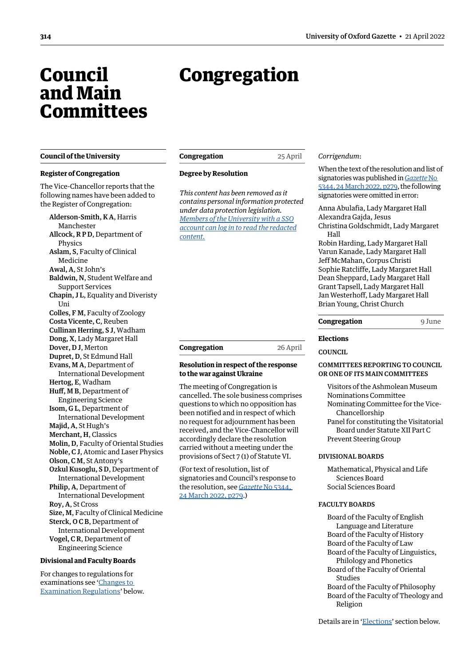## <span id="page-1-0"></span>Council and Main **Committees**

#### **Council of the University**

#### **Register of Congregation**

The Vice-Chancellor reports that the following names have been added to the Register of Congregation:

Alderson-Smith, K A, Harris Manchester Allcock, R P D, Department of Physics Aslam, S, Faculty of Clinical Medicine Awal, A, St John's Baldwin, N, Student Welfare and Support Services Chapin, J L, Equality and Diveristy Uni Colles, F M, Faculty of Zoology Costa Vicente, C, Reuben Cullinan Herring, S J, Wadham Dong, X, Lady Margaret Hall Dover, D J, Merton Dupret, D, St Edmund Hall Evans, M A, Department of International Development Hertog, E, Wadham Huff, M B, Department of Engineering Science Isom, G L, Department of International Development Majid, A, St Hugh's Merchant, H, Classics Molin, D, Faculty of Oriental Studies Noble, C J, Atomic and Laser Physics Olson, C M, St Antony's Ozkul Kusoglu, S D, Department of International Development Philip, A, Department of International Development Roy, A, St Cross Size, M, Faculty of Clinical Medicine Sterck, O C B, Department of International Development Vogel, C R, Department of Engineering Science

#### **Divisional and Faculty Boards**

For changes to regulations for examinations see '[Changes to](#page-5-1)  [Examination Regulations](#page-5-1)' below.

Congregation

| Congregation | 25 April |
|--------------|----------|
|              |          |

#### **Degree by Resolution**

*This content has been removed as it contains personal information protected under data protection legislation. Members of the University with a SSO [account can log in to read the redacted](https://unioxfordnexus.sharepoint.com/sites/PublicAffairsDirectorate-Gazette/Online%20Gazette%20Issues/Gazette%202021-22/21%20April%202022%20-%20No%205345.pdf#page=2)  content.*

## **Congregation** 26 April

#### **Resolution in respect of the response to the war against Ukraine**

The meeting of Congregation is cancelled. The sole business comprises questions to which no opposition has been notified and in respect of which no request for adjournment has been received, and the Vice-Chancellor will accordingly declare the resolution carried without a meeting under the provisions of Sect 7 (1) of Statute VI.

(For text of resolution, list of signatories and Council's response to the resolution, see *Gazette* [No 5344,](https://gazette.web.ox.ac.uk/sites/default/files/gazette/documents/media/24_march_2022_-_no_5344.pdf#page=5)  [24 March 2022, p279](https://gazette.web.ox.ac.uk/sites/default/files/gazette/documents/media/24_march_2022_-_no_5344.pdf#page=5).)

#### *Corrigendum*:

When the text of the resolution and list of signatories was published in *[Gazette](https://gazette.web.ox.ac.uk/sites/default/files/gazette/documents/media/24_march_2022_-_no_5344.pdf#page=5)* No [5344, 24 March 2022, p279](https://gazette.web.ox.ac.uk/sites/default/files/gazette/documents/media/24_march_2022_-_no_5344.pdf#page=5), the following signatories were omitted in error:

Anna Abulafia, Lady Margaret Hall Alexandra Gajda, Jesus

Christina Goldschmidt, Lady Margaret Hall

Robin Harding, Lady Margaret Hall Varun Kanade, Lady Margaret Hall Jeff McMahan, Corpus Christi Sophie Ratcliffe, Lady Margaret Hall Dean Sheppard, Lady Margaret Hall Grant Tapsell, Lady Margaret Hall Jan Westerhoff, Lady Margaret Hall Brian Young, Christ Church

#### **Congregation** 9 June

#### **Elections**

**COUNCIL** 

#### COMMITTEES REPORTING TO COUNCIL OR ONE OF ITS MAIN COMMITTEES

Visitors of the Ashmolean Museum Nominations Committee Nominating Committee for the Vice-Chancellorship Panel for constituting the Visitatorial Board under Statute XII Part C Prevent Steering Group

#### DIVISIONAL BOARDS

Mathematical, Physical and Life Sciences Board Social Sciences Board

#### FACULTY BOARDS

Board of the Faculty of English Language and Literature Board of the Faculty of History Board of the Faculty of Law Board of the Faculty of Linguistics, Philology and Phonetics Board of the Faculty of Oriental Studies Board of the Faculty of Philosophy Board of the Faculty of Theology and Religion

Details are in ['Elections](#page-6-1)' section below.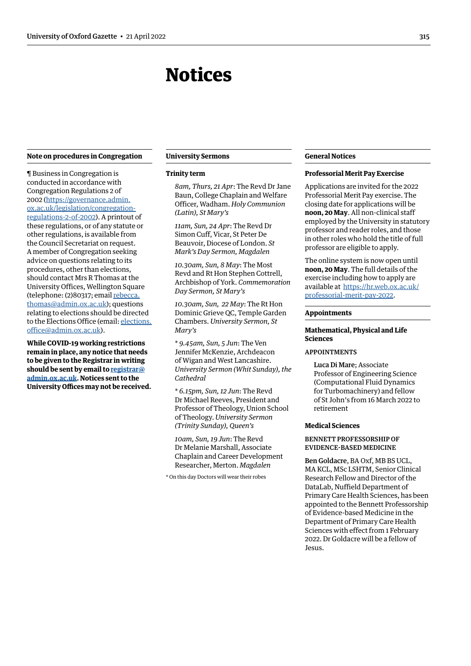## Notices

#### <span id="page-2-0"></span>**Note on procedures in Congregation**

¶ Business in Congregation is conducted in accordance with Congregation Regulations 2 of 2002 [\(https://governance.admin.](https://governance.admin.ox.ac.uk/legislation/congregation-regulations-2-of-2002) [ox.ac.uk/legislation/congregation](https://governance.admin.ox.ac.uk/legislation/congregation-regulations-2-of-2002)[regulations-2-of-2002\)](https://governance.admin.ox.ac.uk/legislation/congregation-regulations-2-of-2002). A printout of these regulations, or of any statute or other regulations, is available from the Council Secretariat on request. A member of Congregation seeking advice on questions relating to its procedures, other than elections, should contact Mrs R Thomas at the University Offices, Wellington Square (telephone: (2)80317; email [rebecca.](mailto:rebecca.thomas@admin.ox.ac.uk) [thomas@admin.ox.ac.uk\)](mailto:rebecca.thomas@admin.ox.ac.uk); questions relating to elections should be directed to the Elections Office (email: [elections.](mailto:elections.office@admin.ox.ac.uk) [office@admin.ox.ac.uk](mailto:elections.office@admin.ox.ac.uk)).

**While COVID-19 working restrictions remain in place, any notice that needs to be given to the Registrar in writing should be sent by email to [registrar@](mailto:registrar%40admin.ox.ac.uk?subject=) [admin.ox.ac.uk](mailto:registrar%40admin.ox.ac.uk?subject=). Notices sent to the University Offices may not be received.**

#### **University Sermons**

#### **Trinity term**

*8am, Thurs, 21 Apr*: The Revd Dr Jane Baun, College Chaplain and Welfare Officer, Wadham. *Holy Communion (Latin), St Mary's*

*11am, Sun, 24 Apr*: The Revd Dr Simon Cuff, Vicar, St Peter De Beauvoir, Diocese of London. *St Mark's Day Sermon, Magdalen*

*10.30am, Sun, 8 May*: The Most Revd and Rt Hon Stephen Cottrell, Archbishop of York. *Commemoration Day Sermon, St Mary's*

*10.30am, Sun, 22 May*: The Rt Hon Dominic Grieve QC, Temple Garden Chambers. *University Sermon, St Mary's*

\* *9.45am, Sun, 5 Jun*: The Ven Jennifer McKenzie, Archdeacon of Wigan and West Lancashire. *University Sermon (Whit Sunday), the Cathedral*

\* *6.15pm, Sun, 12 Jun*: The Revd Dr Michael Reeves, President and Professor of Theology, Union School of Theology. *University Sermon (Trinity Sunday), Queen's*

*10am, Sun, 19 Jun*: The Revd Dr Melanie Marshall, Associate Chaplain and Career Development Researcher, Merton. *Magdalen*

\* On this day Doctors will wear their robes

#### **General Notices**

#### **Professorial Merit Pay Exercise**

Applications are invited for the 2022 Professorial Merit Pay exercise. The closing date for applications will be **noon, 20 May**. All non-clinical staff employed by the University in statutory professor and reader roles, and those in other roles who hold the title of full professor are eligible to apply.

The online system is now open until **noon, 20 May**. The full details of the exercise including how to apply are available at [https://hr.web.ox.ac.uk/](https://hr.web.ox.ac.uk/professorial-merit-pay-2022) [professorial-merit-pay-2022](https://hr.web.ox.ac.uk/professorial-merit-pay-2022).

#### **Appointments**

#### **Mathematical, Physical and Life Sciences**

#### APPOINTMENTS

Luca Di Mare; Associate Professor of Engineering Science (Computational Fluid Dynamics for Turbomachinery) and fellow of St John's from 16 March 2022 to retirement

#### **Medical Sciences**

#### BENNETT PROFESSORSHIP OF EVIDENCE-BASED MEDICINE

Ben Goldacre, BA Oxf, MB BS UCL, MA KCL, MSc LSHTM, Senior Clinical Research Fellow and Director of the DataLab, Nuffield Department of Primary Care Health Sciences, has been appointed to the Bennett Professorship of Evidence-based Medicine in the Department of Primary Care Health Sciences with effect from 1 February 2022. Dr Goldacre will be a fellow of Jesus.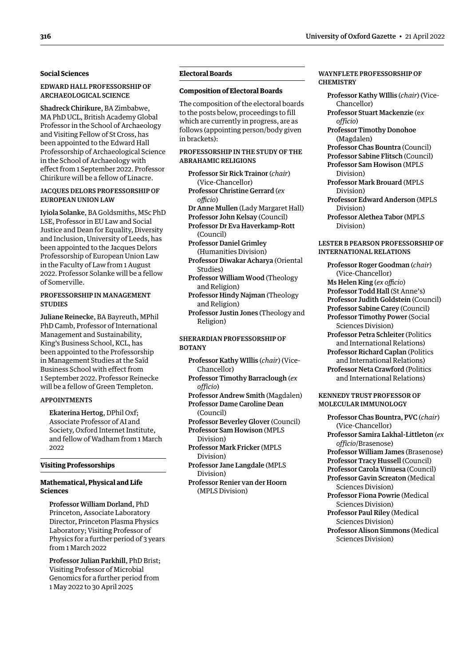#### <span id="page-3-0"></span>**Social Sciences**

#### EDWARD HALL PROFESSORSHIP OF ARCHAEOLOGICAL SCIENCE

Shadreck Chirikure, BA Zimbabwe, MA PhD UCL, British Academy Global Professor in the School of Archaeology and Visiting Fellow of St Cross, has been appointed to the Edward Hall Professorship of Archaeological Science in the School of Archaeology with effect from 1 September 2022. Professor Chirikure will be a fellow of Linacre.

#### JACQUES DELORS PROFESSORSHIP OF EUROPEAN UNION LAW

Iyiola Solanke, BA Goldsmiths, MSc PhD LSE, Professor in EU Law and Social Justice and Dean for Equality, Diversity and Inclusion, University of Leeds, has been appointed to the Jacques Delors Professorship of European Union Law in the Faculty of Law from 1 August 2022. Professor Solanke will be a fellow of Somerville.

#### PROFESSORSHIP IN MANAGEMENT **STUDIES**

Juliane Reinecke, BA Bayreuth, MPhil PhD Camb, Professor of International Management and Sustainability, King's Business School, KCL, has been appointed to the Professorship in Management Studies at the Saïd Business School with effect from 1 September 2022. Professor Reinecke will be a fellow of Green Templeton.

#### APPOINTMENTS

Ekaterina Hertog, DPhil Oxf; Associate Professor of AI and Society, Oxford Internet Institute, and fellow of Wadham from 1 March  $2022$ 

#### **Visiting Professorships**

#### **Mathematical, Physical and Life Sciences**

Professor William Dorland, PhD Princeton, Associate Laboratory Director, Princeton Plasma Physics Laboratory; Visiting Professor of Physics for a further period of 3 years from 1 March 2022

Professor Julian Parkhill, PhD Brist; Visiting Professor of Microbial Genomics for a further period from 1 May 2022 to 30 April 2025

#### **Electoral Boards**

#### **Composition of Electoral Boards**

The composition of the electoral boards to the posts below, proceedings to fill which are currently in progress, are as follows (appointing person/body given in brackets):

#### PROFESSORSHIP IN THE STUDY OF THE ABRAHAMIC RELIGIONS

Professor Sir Rick Trainor (*chair*) (Vice-Chancellor) Professor Christine Gerrard (*ex officio*) Dr Anne Mullen (Lady Margaret Hall) Professor John Kelsay (Council) Professor Dr Eva Haverkamp-Rott (Council) Professor Daniel Grimley (Humanities Division)

Professor Diwakar Acharya (Oriental Studies)

Professor William Wood (Theology and Religion)

- Professor Hindy Najman (Theology and Religion)
- Professor Justin Jones (Theology and Religion)

#### SHERARDIAN PROFESSORSHIP OF **BOTANY**

- Professor Kathy WIllis (*chair*) (Vice-Chancellor)
- Professor Timothy Barraclough (*ex officio*)

Professor Andrew Smith (Magdalen) Professor Dame Caroline Dean (Council)

Professor Beverley Glover (Council) Professor Sam Howison (MPLS Division)

- Professor Mark Fricker (MPLS Division)
- Professor Jane Langdale (MPLS Division)
- Professor Renier van der Hoorn (MPLS Division)

#### WAYNFLETE PROFESSORSHIP OF **CHEMISTRY**

- Professor Kathy WIllis (*chair*) (Vice-Chancellor) Professor Stuart Mackenzie (e*x*
- *officio*) Professor Timothy Donohoe

(Magdalen)

Professor Chas Bountra (Council) Professor Sabine Flitsch (Council)

Professor Sam Howison (MPLS Division)

Professor Mark Brouard (MPLS Division)

Professor Edward Anderson (MPLS Division)

Professor Alethea Tabor (MPLS Division)

#### LESTER B PEARSON PROFESSORSHIP OF INTERNATIONAL RELATIONS

Professor Roger Goodman (*chair*) (Vice-Chancellor) Ms Helen King (*ex officio*) Professor Todd Hall (St Anne's) Professor Judith Goldstein (Council) Professor Sabine Carey (Council) Professor Timothy Power (Social Sciences Division) Professor Petra Schleiter (Politics and International Relations) Professor Richard Caplan (Politics and International Relations) Professor Neta Crawford (Politics and International Relations)

#### KENNEDY TRUST PROFESSOR OF MOLECULAR IMMUNOLOGY

Professor Chas Bountra, PVC (*chair*) (Vice-Chancellor) Professor Samira Lakhal-Littleton (*ex officio*/Brasenose) Professor William James (Brasenose) Professor Tracy Hussell (Council) Professor Carola Vinuesa (Council) Professor Gavin Screaton (Medical Sciences Division) Professor Fiona Powrie (Medical Sciences Division) Professor Paul Riley (Medical Sciences Division) Professor Alison Simmons (Medical Sciences Division)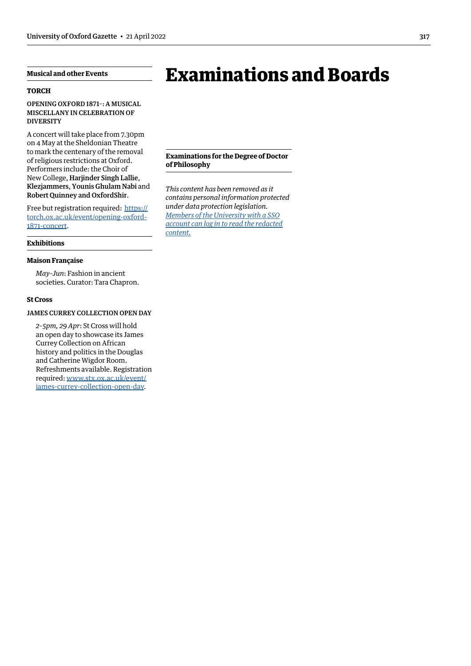## <span id="page-4-0"></span>**Musical and other Events**

#### **TORCH**

OPENING OXFORD 1871–: A MUSICAL MISCELLANY IN CELEBRATION OF **DIVERSITY** 

A concert will take place from 7.30pm on 4 May at the Sheldonian Theatre to mark the centenary of the removal of religious restrictions at Oxford. Performers include: the Choir of New College, Harjinder Singh Lallie, Klezjammers, Younis Ghulam Nabi and Robert Quinney and OxfordShir.

Free but registration required: [https://](https://torch.ox.ac.uk/event/opening-oxford-1871-concert) [torch.ox.ac.uk/event/opening-oxford-](https://torch.ox.ac.uk/event/opening-oxford-1871-concert)[1871-concert](https://torch.ox.ac.uk/event/opening-oxford-1871-concert).

#### **Exhibitions**

#### **Maison Française**

*May–Jun*: Fashion in ancient societies. Curator: Tara Chapron.

#### **St Cross**

JAMES CURREY COLLECTION OPEN DAY

*2–5pm, 29 Apr*: St Cross will hold an open day to showcase its James Currey Collection on African history and politics in the Douglas and Catherine Wigdor Room. Refreshments available. Registration required: [www.stx.ox.ac.uk/event/](http://www.stx.ox.ac.uk/event/james-currey-collection-open-day) [james-currey-collection-open-day.](http://www.stx.ox.ac.uk/event/james-currey-collection-open-day)

# Examinations and Boards

**Examinations for the Degree of Doctor of Philosophy**

*This content has been removed as it contains personal information protected under data protection legislation. Members of the University with a SSO [account can log in to read the redacted](https://unioxfordnexus.sharepoint.com/sites/PublicAffairsDirectorate-Gazette/Online%20Gazette%20Issues/Gazette%202021-22/21%20April%202022%20-%20No%205345.pdf#page=5)  content.*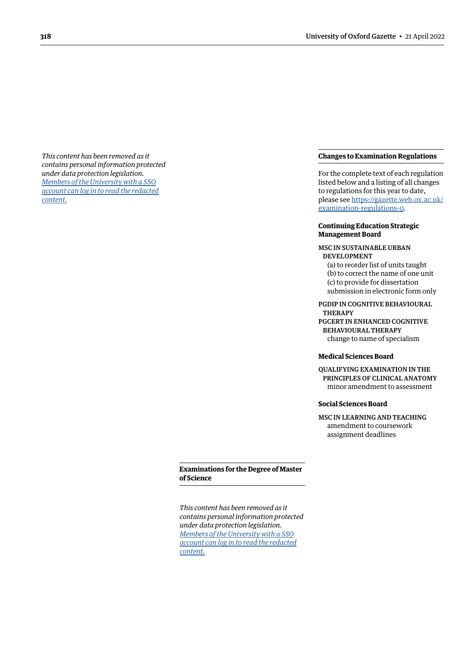<span id="page-5-0"></span>*This content has been removed as it contains personal information protected under data protection legislation. Members of the University with a SSO [account can log in to read the redacted](https://unioxfordnexus.sharepoint.com/sites/PublicAffairsDirectorate-Gazette/Online%20Gazette%20Issues/Gazette%202021-22/21%20April%202022%20-%20No%205345.pdf#page=6)  content.*

#### <span id="page-5-1"></span>**Changes to Examination Regulations**

For the complete text of each regulation listed below and a listing of all changes to regulations for this year to date, please see [https://gazette.web.ox.ac.uk/](https://gazette.web.ox.ac.uk/examination-regulations-0) [examination-regulations-0](https://gazette.web.ox.ac.uk/examination-regulations-0).

#### **Continuing Education Strategic Management Board**

#### MSC IN SUSTAINABLE URBAN DEVELOPMENT

(a) to reorder list of units taught (b) to correct the name of one unit (c) to provide for dissertation submission in electronic form only

PGDIP IN COGNITIVE BEHAVIOURAL **THERAPY** PGCERT IN ENHANCED COGNITIVE BEHAVIOURAL THERAPY

change to name of specialism

#### **Medical Sciences Board**

QUALIFYING EXAMINATION IN THE PRINCIPLES OF CLINICAL ANATOMY minor amendment to assessment

#### **Social Sciences Board**

MSC IN LEARNING AND TEACHING amendment to coursework assignment deadlines

#### **Examinations for the Degree of Master of Science**

*This content has been removed as it contains personal information protected under data protection legislation. Members of the University with a SSO [account can log in to read the redacted](https://unioxfordnexus.sharepoint.com/sites/PublicAffairsDirectorate-Gazette/Online%20Gazette%20Issues/Gazette%202021-22/21%20April%202022%20-%20No%205345.pdf#page=6)  content.*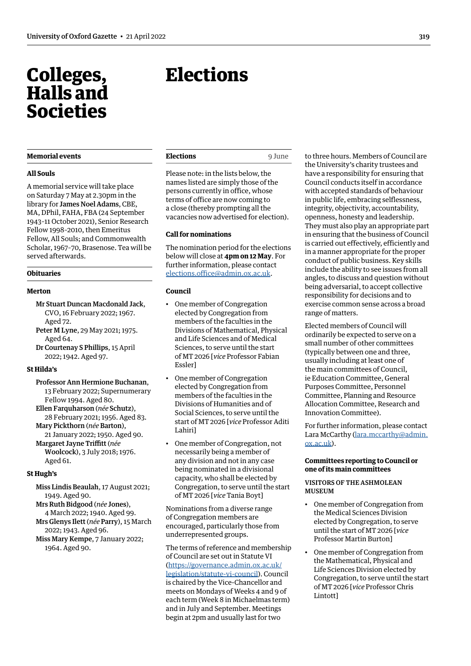## <span id="page-6-0"></span>Colleges, Halls and Societies

#### **Memorial events**

#### **All Souls**

A memorial service will take place on Saturday 7 May at 2.30pm in the library for James Noel Adams, CBE, MA, DPhil, FAHA, FBA (24 September 1943–11 October 2021), Senior Research Fellow 1998–2010, then Emeritus Fellow, All Souls; and Commonwealth Scholar, 1967–70, Brasenose. Tea will be served afterwards.

#### **Obituaries**

#### **Merton**

- Mr Stuart Duncan Macdonald Jack, CVO, 16 February 2022; 1967. Aged 72.
- Peter M Lyne, 29 May 2021; 1975. Aged 64.
- Dr Courtenay S Phillips, 15 April 2022; 1942. Aged 97.

## **St Hilda's**

- Professor Ann Hermione Buchanan, 13 February 2022; Supernumerary Fellow 1994. Aged 80.
- Ellen Farquharson (*née* Schutz), 28 February 2021; 1956. Aged 83.
- Mary Pickthorn (*née* Barton), 21 January 2022; 1950. Aged 90.
- Margaret Jayne Triffitt (*née*  Woolcock), 3 July 2018; 1976. Aged 61.

#### **St Hugh's**

Miss Lindis Beaulah, 17 August 2021; 1949. Aged 90.

Mrs Ruth Bidgood (*née* Jones), 4 March 2022; 1940. Aged 99. Mrs Glenys Ilett (*née* Parry), 15 March

2022; 1943. Aged 96. Miss Mary Kempe, 7 January 2022; 1964. Aged 90.

# <span id="page-6-1"></span>**Elections**

Please note: in the lists below, the names listed are simply those of the persons currently in office, whose terms of office are now coming to a close (thereby prompting all the vacancies now advertised for election).

#### **Call for nominations**

The nomination period for the elections below will close at **4pm on 12 May**. For further information, please contact [elections.office@admin.ox.ac.uk.](mailto:elections.office@admin.ox.ac.uk)

#### **Council**

- One member of Congregation elected by Congregation from members of the faculties in the Divisions of Mathematical, Physical and Life Sciences and of Medical Sciences, to serve until the start of MT 2026 [*vice* Professor Fabian Essler]
- One member of Congregation elected by Congregation from members of the faculties in the Divisions of Humanities and of Social Sciences, to serve until the start of MT 2026 [*vice* Professor Aditi Lahiri]
- One member of Congregation, not necessarily being a member of any division and not in any case being nominated in a divisional capacity, who shall be elected by Congregation, to serve until the start of MT 2026 [*vice* Tania Boyt]

Nominations from a diverse range of Congregation members are encouraged, particularly those from underrepresented groups.

The terms of reference and membership of Council are set out in Statute VI ([https://governance.admin.ox.ac.uk/](https://governance.admin.ox.ac.uk/legislation/statute-vi-council) [legislation/statute-vi-council](https://governance.admin.ox.ac.uk/legislation/statute-vi-council)). Council is chaired by the Vice-Chancellor and meets on Mondays of Weeks 4 and 9 of each term (Week 8 in Michaelmas term) and in July and September. Meetings begin at 2pm and usually last for two

to three hours. Members of Council are the University's charity trustees and have a responsibility for ensuring that Council conducts itself in accordance with accepted standards of behaviour in public life, embracing selflessness, integrity, objectivity, accountability, openness, honesty and leadership. They must also play an appropriate part in ensuring that the business of Council is carried out effectively, efficiently and in a manner appropriate for the proper conduct of public business. Key skills include the ability to see issues from all angles, to discuss and question without being adversarial, to accept collective responsibility for decisions and to exercise common sense across a broad range of matters.

Elected members of Council will ordinarily be expected to serve on a small number of other committees (typically between one and three, usually including at least one of the main committees of Council, ie Education Committee, General Purposes Committee, Personnel Committee, Planning and Resource Allocation Committee, Research and Innovation Committee).

For further information, please contact Lara McCarthy ([lara.mccarthy@admin.](mailto:lara.mccarthy@admin.ox.ac.uk) [ox.ac.uk](mailto:lara.mccarthy@admin.ox.ac.uk)).

#### **Committees reporting to Council or one of its main committees**

#### VISITORS OF THE ASHMOLEAN MUSEUM

- One member of Congregation from the Medical Sciences Division elected by Congregation, to serve until the start of MT 2026 [*vice* Professor Martin Burton]
- One member of Congregation from the Mathematical, Physical and Life Sciences Division elected by Congregation, to serve until the start of MT 2026 [*vice* Professor Chris Lintott]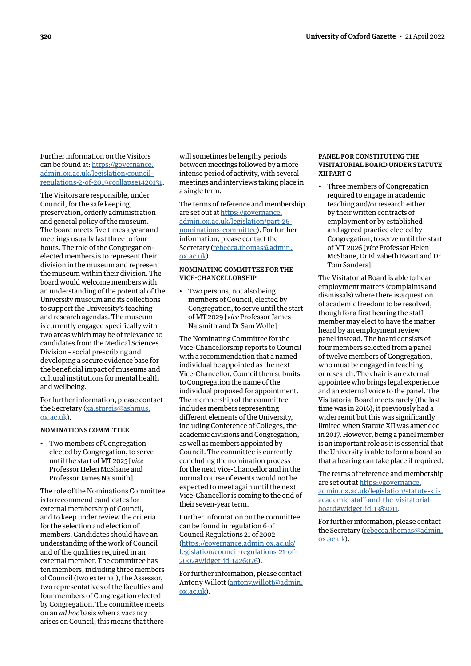<span id="page-7-0"></span>Further information on the Visitors can be found at: [https://governance.](https://governance.admin.ox.ac.uk/legislation/council-regulations-2-of-2019#collapse1420131) [admin.ox.ac.uk/legislation/council](https://governance.admin.ox.ac.uk/legislation/council-regulations-2-of-2019#collapse1420131)[regulations-2-of-2019#collapse1420131](https://governance.admin.ox.ac.uk/legislation/council-regulations-2-of-2019#collapse1420131).

The Visitors are responsible, under Council, for the safe keeping, preservation, orderly administration and general policy of the museum. The board meets five times a year and meetings usually last three to four hours. The role of the Congregationelected members is to represent their division in the museum and represent the museum within their division. The board would welcome members with an understanding of the potential of the University museum and its collections to support the University's teaching and research agendas. The museum is currently engaged specifically with two areas which may be of relevance to candidates from the Medical Sciences Division – social prescribing and developing a secure evidence base for the beneficial impact of museums and cultural institutions for mental health and wellbeing.

For further information, please contact the Secretary ([xa.sturgis@ashmus.](mailto:xa.sturgis@ashmus.ox.ac.uk) [ox.ac.uk\)](mailto:xa.sturgis@ashmus.ox.ac.uk).

#### NOMINATIONS COMMITTEE

• Two members of Congregation elected by Congregation, to serve until the start of MT 2025 [*vice* Professor Helen McShane and Professor James Naismith]

The role of the Nominations Committee is to recommend candidates for external membership of Council, and to keep under review the criteria for the selection and election of members. Candidates should have an understanding of the work of Council and of the qualities required in an external member. The committee has ten members, including three members of Council (two external), the Assessor, two representatives of the faculties and four members of Congregation elected by Congregation. The committee meets on an *ad hoc* basis when a vacancy arises on Council; this means that there

will sometimes be lengthy periods between meetings followed by a more intense period of activity, with several meetings and interviews taking place in a single term.

The terms of reference and membership are set out at [https://governance.](https://governance.admin.ox.ac.uk/legislation/part-26-nominations-committee) [admin.ox.ac.uk/legislation/part-26](https://governance.admin.ox.ac.uk/legislation/part-26-nominations-committee) [nominations-committee\)](https://governance.admin.ox.ac.uk/legislation/part-26-nominations-committee). For further information, please contact the Secretary [\(rebecca.thomas@admin.](mailto:rebecca.thomas@admin.ox.ac.uk) [ox.ac.uk\)](mailto:rebecca.thomas@admin.ox.ac.uk).

#### NOMINATING COMMITTEE FOR THE VICE-CHANCELLORSHIP

• Two persons, not also being members of Council, elected by Congregation, to serve until the start of MT 2029 [*vice* Professor James Naismith and Dr Sam Wolfe]

The Nominating Committee for the Vice-Chancellorship reports to Council with a recommendation that a named individual be appointed as the next Vice-Chancellor. Council then submits to Congregation the name of the individual proposed for appointment. The membership of the committee includes members representing different elements of the University, including Conference of Colleges, the academic divisions and Congregation, as well as members appointed by Council. The committee is currently concluding the nomination process for the next Vice-Chancellor and in the normal course of events would not be expected to meet again until the next Vice-Chancellor is coming to the end of their seven-year term.

Further information on the committee can be found in regulation 6 of Council Regulations 21 of 2002 ([https://governance.admin.ox.ac.uk/](https://governance.admin.ox.ac.uk/legislation/council-regulations-21-of-2002#widget-id-1426076) [legislation/council-regulations-21-of-](https://governance.admin.ox.ac.uk/legislation/council-regulations-21-of-2002#widget-id-1426076)[2002#widget-id-1426076](https://governance.admin.ox.ac.uk/legislation/council-regulations-21-of-2002#widget-id-1426076)).

For further information, please contact Antony Willott [\(antony.willott@admin.](mailto:antony.willott@admin.ox.ac.uk) [ox.ac.uk\)](mailto:antony.willott@admin.ox.ac.uk).

#### PANEL FOR CONSTITUTING THE VISITATORIAL BOARD UNDER STATUTE XII PART C

• Three members of Congregation required to engage in academic teaching and/or research either by their written contracts of employment or by established and agreed practice elected by Congregation, to serve until the start of MT 2026 [*vice* Professor Helen McShane, Dr Elizabeth Ewart and Dr Tom Sanders]

The Visitatorial Board is able to hear employment matters (complaints and dismissals) where there is a question of academic freedom to be resolved, though for a first hearing the staff member may elect to have the matter heard by an employment review panel instead. The board consists of four members selected from a panel of twelve members of Congregation, who must be engaged in teaching or research. The chair is an external appointee who brings legal experience and an external voice to the panel. The Visitatorial Board meets rarely (the last time was in 2016); it previously had a wider remit but this was significantly limited when Statute XII was amended in 2017. However, being a panel member is an important role as it is essential that the University is able to form a board so that a hearing can take place if required.

The terms of reference and membership are set out at [https://governance.](https://governance.admin.ox.ac.uk/legislation/statute-xii-academic-staff-and-the-visitatorial-board#widget-id-1383011) [admin.ox.ac.uk/legislation/statute-xii](https://governance.admin.ox.ac.uk/legislation/statute-xii-academic-staff-and-the-visitatorial-board#widget-id-1383011)[academic-staff-and-the-visitatorial](https://governance.admin.ox.ac.uk/legislation/statute-xii-academic-staff-and-the-visitatorial-board#widget-id-1383011)[board#widget-id-1383011.](https://governance.admin.ox.ac.uk/legislation/statute-xii-academic-staff-and-the-visitatorial-board#widget-id-1383011)

For further information, please contact the Secretary [\(rebecca.thomas@admin.](mailto:rebecca.thomas@admin.ox.ac.uk) [ox.ac.uk](mailto:rebecca.thomas@admin.ox.ac.uk)).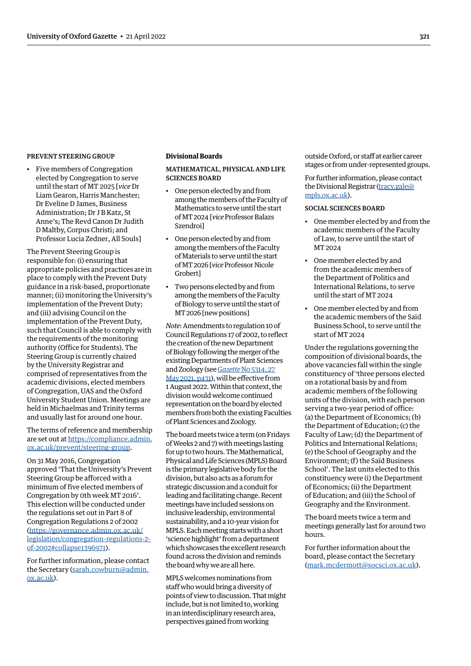#### <span id="page-8-0"></span>PREVENT STEERING GROUP

• Five members of Congregation elected by Congregation to serve until the start of MT 2025 [*vice* Dr liam Gearon, Harris Manchester; Dr Eveline D James, Business Administration; Dr J B Katz, St Anne's; The Revd Canon Dr Judith D Maltby, Corpus Christi; and professor lucia Zedner, All Souls]

The Prevent Steering Group is responsible for: (i) ensuring that appropriate policies and practices are in place to comply with the Prevent Duty guidance in a risk-based, proportionate manner; (ii) monitoring the University's implementation of the Prevent Duty; and (iii) advising Council on the implementation of the Prevent Duty, such that Council is able to comply with the requirements of the monitoring authority (Office for Students). The Steering Group is currently chaired by the University Registrar and comprised of representatives from the academic divisions, elected members of Congregation, UAS and the Oxford University Student Union. Meetings are held in Michaelmas and Trinity terms and usually last for around one hour.

The terms of reference and membership are set out at [https://compliance.admin.](https://compliance.admin.ox.ac.uk/prevent/steering-group) [ox.ac.uk/prevent/steering-group.](https://compliance.admin.ox.ac.uk/prevent/steering-group)

On 31 May 2016, Congregation approved 'That the University's Prevent Steering Group be afforced with a minimum of five elected members of Congregation by 0th week MT 2016'. This election will be conducted under the regulations set out in Part 8 of Congregation Regulations 2 of 2002 ([https://governance.admin.ox.ac.uk/](https://governance.admin.ox.ac.uk/legislation/congregation-regulations-2-of-2002#collapse1396971) [legislation/congregation-regulations-2](https://governance.admin.ox.ac.uk/legislation/congregation-regulations-2-of-2002#collapse1396971) [of-2002#collapse1396971\)](https://governance.admin.ox.ac.uk/legislation/congregation-regulations-2-of-2002#collapse1396971).

For further information, please contact the Secretary [\(sarah.cowburn@admin.](mailto:sarah.cowburn@admin.ox.ac.uk) [ox.ac.uk\)](mailto:sarah.cowburn@admin.ox.ac.uk).

#### **Divisional Boards**

MATHEMATICAL, PHYSICAL AND LIFE SCIENCES BOARD

- One person elected by and from among the members of the Faculty of Mathematics to serve until the start of MT 2024 [*vice*Professor Balazs Szendroi]
- One person elected by and from among the members of the Faculty of Materials to serve until the start of MT 2026 [*vice*Professor Nicole Grobert]
- Two persons elected by and from among the members of the Faculty of Biology to serve until the start of MT 2026 [new positions]

*Note*: Amendments to regulation 10 of Council Regulations 17 of 2002, to reflect the creation of the new Department of Biology following the merger of the existing Departments of Plant Sciences and Zoology (see *Gazette* [No 5314, 27](https://gazette.web.ox.ac.uk/sites/default/files/gazette/documents/media/27_may_2021_-_no_5314_redacted.pdf#page=5)  [May 2021, p431\)](https://gazette.web.ox.ac.uk/sites/default/files/gazette/documents/media/27_may_2021_-_no_5314_redacted.pdf#page=5), will be effective from 1 August 2022. Within that context, the division would welcome continued representation on the board by elected members from both the existing Faculties of Plant Sciences and Zoology.

The board meets twice a term (on Fridays of Weeks 2 and 7) with meetings lasting for up to two hours. The Mathematical, Physical and Life Sciences (MPLS) Board is the primary legislative body for the division, but also acts as a forum for strategic discussion and a conduit for leading and facilitating change. Recent meetings have included sessions on inclusive leadership, environmental sustainability, and a 10-year vision for MPLS. Each meeting starts with a short 'science highlight' from a department which showcases the excellent research found across the division and reminds the board why we are all here.

MPLS welcomes nominations from staff who would bring a diversity of points of view to discussion. That might include, but is not limited to, working in an interdisciplinary research area, perspectives gained from working

outside Oxford, or staff at earlier career stages or from under-represented groups.

For further information, please contact the Divisional Registrar ([tracy.gale@](mailto:tracy.gale@mpls.ox.ac.uk) [mpls.ox.ac.uk\)](mailto:tracy.gale@mpls.ox.ac.uk).

#### SOCIAL SCIENCES BOARD

- One member elected by and from the academic members of the Faculty of Law, to serve until the start of MT 2024
- One member elected by and from the academic members of the Department of Politics and International Relations, to serve until the start of MT 2024
- One member elected by and from the academic members of the Saïd Business School, to serve until the start of MT 2024

Under the regulations governing the composition of divisional boards, the above vacancies fall within the single constituency of 'three persons elected on a rotational basis by and from academic members of the following units of the division, with each person serving a two-year period of office: (a) the Department of Economics; (b) the Department of Education; (c) the Faculty of Law; (d) the Department of Politics and International Relations; (e) the School of Geography and the Environment; (f) the Saïd Business School'. The last units elected to this constituency were (i) the Department of Economics; (ii) the Department of Education; and (iii) the School of Geography and the Environment.

The board meets twice a term and meetings generally last for around two hours.

For further information about the board, please contact the Secretary [\(mark.mcdermott@socsci.ox.ac.uk](mailto:mark.mcdermott@socsci.ox.ac.uk)).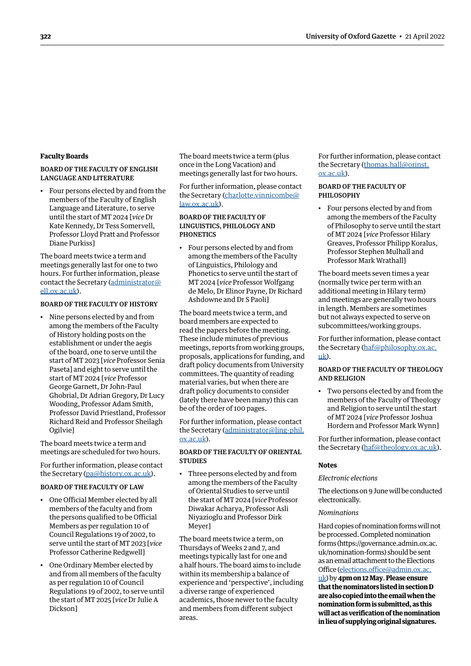#### <span id="page-9-0"></span>**Faculty Boards**

#### BOARD OF THE FACULTY OF ENGLISH LANGUAGE AND LITERATURE

• Four persons elected by and from the members of the Faculty of English Language and Literature, to serve until the start of MT 2024 [*vice* Dr Kate Kennedy, Dr Tess Somervell, Professor Lloyd Pratt and Professor Diane Purkiss]

The board meets twice a term and meetings generally last for one to two hours. For further information, please contact the Secretary [\(administrator@](mailto:administrator@ell.ox.ac.uk) [ell.ox.ac.uk](mailto:administrator@ell.ox.ac.uk)).

#### BOARD OF THE FACULTY OF HISTORY

• Nine persons elected by and from among the members of the Faculty of History holding posts on the establishment or under the aegis of the board, one to serve until the start of MT 2023 [*vice* Professor Senia Paseta] and eight to serve until the start of MT 2024 [*vice* Professor George Garnett, Dr John-Paul Ghobrial, Dr Adrian Gregory, Dr Lucy Wooding, Professor Adam Smith, Professor David Priestland, Professor Richard Reid and Professor Sheilagh Ogilvie]

The board meets twice a term and meetings are scheduled for two hours.

For further information, please contact the Secretary ([pa@history.ox.ac.uk\)](mailto:pa@history.ox.ac.uk).

#### BOARD OF THE FACULTY OF LAW

- One Official Member elected by all members of the faculty and from the persons qualified to be Official Members as per regulation 10 of Council Regulations 19 of 2002, to serve until the start of MT 2023 [*vice* Professor Catherine Redgwell]
- One Ordinary Member elected by and from all members of the faculty as per regulation 10 of Council Regulations 19 of 2002, to serve until the start of MT 2025 [*vice* Dr Julie A Dickson]

The board meets twice a term (plus once in the Long Vacation) and meetings generally last for two hours.

For further information, please contact the Secretary [\(charlotte.vinnicombe@](mailto:charlotte.vinnicombe@law.ox.ac.uk) [law.ox.ac.uk\)](mailto:charlotte.vinnicombe@law.ox.ac.uk).

#### BOARD OF THE FACULTY OF LINGUISTICS, PHILOLOGY AND **PHONETICS**

• Four persons elected by and from among the members of the Faculty of Linguistics, Philology and Phonetics to serve until the start of MT 2024 [*vice* Professor Wolfgang de Melo, Dr Elinor Payne, Dr Richard Ashdowne and Dr S Paoli]

The board meets twice a term, and board members are expected to read the papers before the meeting. These include minutes of previous meetings, reports from working groups, proposals, applications for funding, and draft policy documents from University committees. The quantity of reading material varies, but when there are draft policy documents to consider (lately there have been many) this can be of the order of 100 pages.

For further information, please contact the Secretary [\(administrator@ling-phil.](mailto:administrator@ling-phil.ox.ac.uk) [ox.ac.uk\)](mailto:administrator@ling-phil.ox.ac.uk).

#### BOARD OF THE FACULTY OF ORIENTAL **STUDIES**

• Three persons elected by and from among the members of the Faculty of Oriental Studies to serve until the start of MT 2024 [*vice* Professor Diwakar Acharya, Professor Asli Niyazioglu and Professor Dirk Meyer]

The board meets twice a term, on Thursdays of Weeks 2 and 7, and meetings typically last for one and a half hours. The board aims to include within its membership a balance of experience and 'perspective', including a diverse range of experienced academics, those newer to the faculty and members from different subject areas.

For further information, please contact the Secretary [\(thomas.hall@orinst.](mailto:thomas.hall@orinst.ox.ac.uk) [ox.ac.uk](mailto:thomas.hall@orinst.ox.ac.uk)).

#### BOARD OF THE FACULTY OF PHILOSOPHY

• Four persons elected by and from among the members of the Faculty of Philosophy to serve until the start of MT 2024 [*vice* Professor Hilary Greaves, Professor Philipp Koralus, Professor Stephen Mulhall and Professor Mark Wrathall]

The board meets seven times a year (normally twice per term with an additional meeting in Hilary term) and meetings are generally two hours in length. Members are sometimes but not always expected to serve on subcommittees/working groups.

For further information, please contact the Secretary [\(haf@philosophy.ox.ac.](mailto:haf@philosophy.ox.ac.uk)  $\underline{uk}$ .

#### BOARD OF THE FACULTY OF THEOLOGY AND RELIGION

• Two persons elected by and from the members of the Faculty of Theology and Religion to serve until the start of MT 2024 [*vice* Professor Joshua Hordern and Professor Mark Wynn]

For further information, please contact the Secretary [\(haf@theology.ox.ac.uk\)](mailto:haf@theology.ox.ac.uk).

#### **Notes**

#### *Electronic elections*

The elections on 9 June will be conducted electronically.

#### *Nominations*

Hard copies of nomination forms will not be processed. Completed nomination forms [\(https://governance.admin.ox.ac.](https://governance.admin.ox.ac.uk/nomination-forms) [uk/nomination-forms\)](https://governance.admin.ox.ac.uk/nomination-forms) should be sent as an email attachment to the Elections Office [\(elections.office@admin.ox.ac.](mailto:elections.office@admin.ox.ac.uk)

[uk](mailto:elections.office@admin.ox.ac.uk)) by **4pm on 12 May**. **Please ensure that the nominators listed in section D are also copied into the email when the nomination form is submitted, as this will act as verification of the nomination in lieu of supplying original signatures.**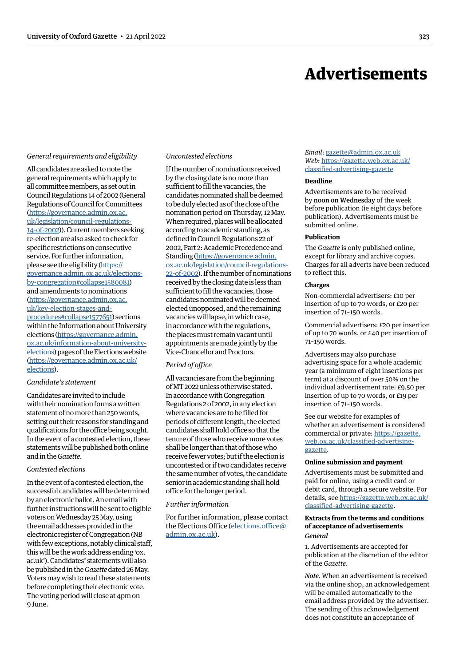## Advertisements

#### <span id="page-10-0"></span>*General requirements and eligibility*

All candidates are asked to note the general requirements which apply to all committee members, as set out in Council Regulations 14 of 2002 (General Regulations of Council for Committees ([https://governance.admin.ox.ac.](https://governance.admin.ox.ac.uk/legislation/council-regulations-14-of-2002) [uk/legislation/council-regulations-](https://governance.admin.ox.ac.uk/legislation/council-regulations-14-of-2002)[14-of-2002\)](https://governance.admin.ox.ac.uk/legislation/council-regulations-14-of-2002)). Current members seeking re-election are also asked to check for specific restrictions on consecutive service. For further information, please see the eligibility [\(https://](https://governance.admin.ox.ac.uk/elections-by-congregation#collapse1580081) [governance.admin.ox.ac.uk/elections](https://governance.admin.ox.ac.uk/elections-by-congregation#collapse1580081)[by-congregation#collapse1580081\)](https://governance.admin.ox.ac.uk/elections-by-congregation#collapse1580081) and amendments to nominations ([https://governance.admin.ox.ac.](https://governance.admin.ox.ac.uk/key-election-stages-and-procedures#collapse1577651) [uk/key-election-stages-and](https://governance.admin.ox.ac.uk/key-election-stages-and-procedures#collapse1577651)[procedures#collapse1577651\)](https://governance.admin.ox.ac.uk/key-election-stages-and-procedures#collapse1577651) sections within the Information about University elections ([https://governance.admin.](https://governance.admin.ox.ac.uk/information-about-university-elections) [ox.ac.uk/information-about-university](https://governance.admin.ox.ac.uk/information-about-university-elections)[elections](https://governance.admin.ox.ac.uk/information-about-university-elections)) pages of the Elections website ([https://governance.admin.ox.ac.uk/](https://governance.admin.ox.ac.uk/elections) [elections](https://governance.admin.ox.ac.uk/elections)).

#### *Candidate's statement*

Candidates are invited to include with their nomination forms a written statement of no more than 250 words, setting out their reasons for standing and qualifications for the office being sought. In the event of a contested election, these statements will be published both online and in the *Gazette*.

#### *Contested elections*

In the event of a contested election, the successful candidates will be determined by an electronic ballot. An email with further instructions will be sent to eligible voters on Wednesday 25 May, using the email addresses provided in the electronic register of Congregation (NB with few exceptions, notably clinical staff, this will be the work address ending 'ox. ac.uk'). Candidates' statements will also be published in the *Gazette* dated 26 May. Voters may wish to read these statements before completing their electronic vote. The voting period will close at 4pm on 9 June.

#### *Uncontested elections*

If the number of nominations received by the closing date is no more than sufficient to fill the vacancies, the candidates nominated shall be deemed to be duly elected as of the close of the nomination period on Thursday, 12 May. When required, places will be allocated according to academic standing, as defined in Council Regulations 22 of 2002, Part 2: Academic Precedence and Standing [\(https://governance.admin.](https://governance.admin.ox.ac.uk/legislation/council-regulations-22-of-2002) [ox.ac.uk/legislation/council-regulations-](https://governance.admin.ox.ac.uk/legislation/council-regulations-22-of-2002)[22-of-2002\)](https://governance.admin.ox.ac.uk/legislation/council-regulations-22-of-2002). If the number of nominations received by the closing date is less than sufficient to fill the vacancies, those candidates nominated will be deemed elected unopposed, and the remaining vacancies will lapse, in which case, in accordance with the regulations, the places must remain vacant until appointments are made jointly by the Vice-Chancellor and Proctors.

#### *Period of office*

All vacancies are from the beginning of MT 2022 unless otherwise stated. In accordance with Congregation Regulations 2 of 2002, in any election where vacancies are to be filled for periods of different length, the elected candidates shall hold office so that the tenure of those who receive more votes shall be longer than that of those who receive fewer votes; but if the election is uncontested or if two candidates receive the same number of votes, the candidate senior in academic standing shall hold office for the longer period.

#### *Further information*

For further information, please contact the Elections Office [\(elections.office@](mailto:elections.office@admin.ox.ac.uk) [admin.ox.ac.uk](mailto:elections.office@admin.ox.ac.uk)).

*Email*: [gazette@admin.ox.ac.uk](mailto:gazette@admin.ox.ac.uk) *Web*: https://[gazette.web.ox.ac.uk/](https://gazette.web.ox.ac.uk/classified-advertising-gazette) [classified-advertising-](https://gazette.web.ox.ac.uk/classified-advertising-gazette)gazette

#### **Deadline**

Advertisements are to be received by noon on Wednesday of the week before publication (ie eight days before publication). Advertisements must be submitted online.

#### **Publication**

The *Gazette* is only published online, except for library and archive copies. Charges for all adverts have been reduced to reflect this.

#### **Charges**

Non-commercial advertisers: £10 per insertion of up to 70 words, or £20 per insertion of 71–150 words.

Commercial advertisers: £20 per insertion of up to 70 words, or £40 per insertion of 71–150 words.

Advertisers may also purchase advertising space for a whole academic year (a minimum of eight insertions per term) at a discount of over 50% on the individual advertisement rate: £9.50 per insertion of up to 70 words, or £19 per insertion of 71–150 words.

See our website for examples of whether an advertisement is considered commercial or private: https://[gazette.](https://gazette.web.ox.ac.uk/classified-advertising-gazette) [web.ox.ac.uk/classified-advertising](https://gazette.web.ox.ac.uk/classified-advertising-gazette)gazette.

#### **Online submission and payment**

Advertisements must be submitted and paid for online, using a credit card or debit card, through a secure website. For details, see https://[gazette.web.ox.ac.uk/](https://gazette.web.ox.ac.uk/classified-advertising-gazette) [classified-advertising-](https://gazette.web.ox.ac.uk/classified-advertising-gazette)gazette.

#### **Extracts from the terms and conditions of acceptance of advertisements** *General*

1. Advertisements are accepted for publication at the discretion of the editor of the *Gazette*.

*Note*. When an advertisement is received via the online shop, an acknowledgement will be emailed automatically to the email address provided by the advertiser. The sending of this acknowledgement does not constitute an acceptance of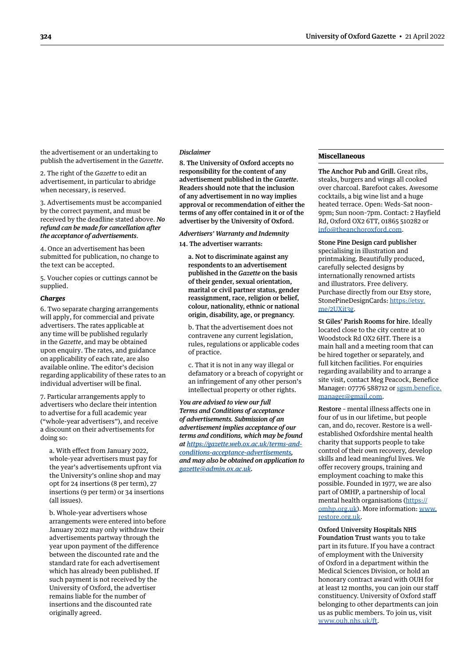the advertisement or an undertaking to publish the advertisement in the *Gazette*.

2. The right of the *Gazette* to edit an advertisement, in particular to abridge when necessary, is reserved.

3. Advertisements must be accompanied by the correct payment, and must be received by the deadline stated above. *No refund can be made for cancellation after the acceptance of advertisements*.

4. Once an advertisement has been submitted for publication, no change to the text can be accepted.

5. Voucher copies or cuttings cannot be supplied.

#### *Charges*

6. Two separate charging arrangements will apply, for commercial and private advertisers. The rates applicable at any time will be published regularly in the *Gazette*, and may be obtained upon enquiry. The rates, and guidance on applicability of each rate, are also available online. The editor's decision regarding applicability of these rates to an individual advertiser will be final.

7. Particular arrangements apply to advertisers who declare their intention to advertise for a full academic year ("whole-year advertisers"), and receive a discount on their advertisements for doing so:

a. With effect from January 2022, whole-year advertisers must pay for the year's advertisements upfront via the University's online shop and may opt for 24 insertions (8 per term), 27 insertions (9 per term) or 34 insertions (all issues).

b. Whole-year advertisers whose arrangements were entered into before January 2022 may only withdraw their advertisements partway through the year upon payment of the difference between the discounted rate and the standard rate for each advertisement which has already been published. If such payment is not received by the University of Oxford, the advertiser remains liable for the number of insertions and the discounted rate originally agreed.

#### *Disclaimer*

8. The University of Oxford accepts no responsibility for the content of any advertisement published in the *Gazette*. Readers should note that the inclusion of any advertisement in no way implies approval or recommendation of either the terms of any offer contained in it or of the advertiser by the University of Oxford.

*Advertisers' Warranty and Indemnity*

14. The advertiser warrants:

a. Not to discriminate against any respondents to an advertisement published in the *Gazette* on the basis of their gender, sexual orientation, marital or civil partner status, gender reassignment, race, religion or belief, colour, nationality, ethnic or national origin, disability, age, or pregnancy.

b. That the advertisement does not contravene any current legislation, rules, regulations or applicable codes of practice.

c. That it is not in any way illegal or defamatory or a breach of copyright or an infringement of any other person's intellectual property or other rights.

*You are advised to view our full Terms and Conditions of acceptance of advertisements. Submission of an advertisement implies acceptance of our terms and conditions, which may be found at [https://gazette.web.ox.ac.uk/terms-and](https://gazette.web.ox.ac.uk/terms-and-conditions-acceptance-advertisements)[conditions-acceptance-advertisements](https://gazette.web.ox.ac.uk/terms-and-conditions-acceptance-advertisements), and may also be obtained on application to [gazette@admin.ox.ac.uk](mailto:gazette@admin.ox.ac.uk).*

#### **Miscellaneous**

The Anchor Pub and Grill. Great ribs, steaks, burgers and wings all cooked over charcoal. Barefoot cakes. Awesome cocktails, a big wine list and a huge heated terrace. Open: Weds–Sat noon– 9pm; Sun noon–7pm. Contact: 2 Hayfield Rd, Oxford OX2 6TT, 01865 510282 or [info@theanchoroxford.com.](mailto:info@theanchoroxford.com)

Stone Pine Design card publisher specialising in illustration and printmaking. Beautifully produced, carefully selected designs by internationally renowned artists and illustrators. Free delivery. Purchase directly from our Etsy store, StonePineDesignCards: [https://etsy.](https://etsy.me/2UXit3g) [me/2UXit3g](https://etsy.me/2UXit3g).

St Giles' Parish Rooms for hire. Ideally located close to the city centre at 10 Woodstock Rd OX2 6HT. There is a main hall and a meeting room that can be hired together or separately, and full kitchen facilities. For enquiries regarding availability and to arrange a site visit, contact Meg Peacock, Benefice Manager: 07776 588712 or [sgsm.benefice.](mailto:sgsm.benefice.manager@gmail.com) [manager@gmail.com](mailto:sgsm.benefice.manager@gmail.com).

Restore – mental illness affects one in four of us in our lifetime, but people can, and do, recover. Restore is a wellestablished Oxfordshire mental health charity that supports people to take control of their own recovery, develop skills and lead meaningful lives. We offer recovery groups, training and employment coaching to make this possible. Founded in 1977, we are also part of OMHP, a partnership of local mental health organisations ([https://](https://omhp.org.uk) [omhp.org.uk](https://omhp.org.uk)). More information: [www.](http://www.restore.org.uk) [restore.org.uk.](http://www.restore.org.uk)

Oxford University Hospitals NHS Foundation Trust wants you to take part in its future. If you have a contract of employment with the University of Oxford in a department within the Medical Sciences Division, or hold an honorary contract award with OUH for at least 12 months, you can join our staff constituency. University of Oxford staff belonging to other departments can join us as public members. To join us, visit [www.ouh.nhs.uk/ft.](http://www.ouh.nhs.uk/ft)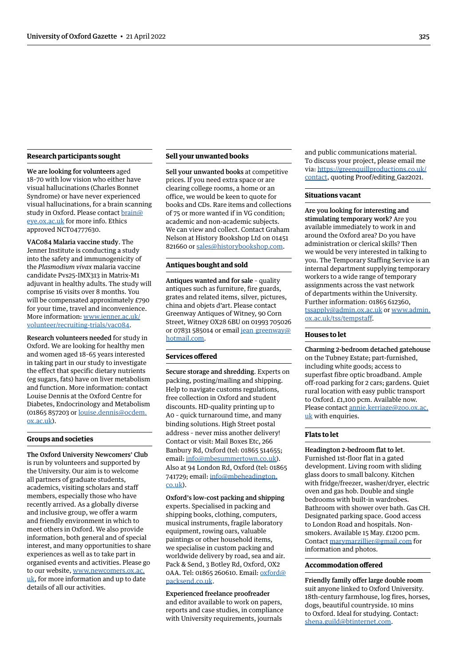#### **Research participants sought**

We are looking for volunteers aged 18–70 with low vision who either have visual hallucinations (Charles Bonnet Syndrome) or have never experienced visual hallucinations, for a brain scanning study in Oxford. Please contact [brain@](mailto:brain@eye.ox.ac.uk) [eye.ox.ac.uk](mailto:brain@eye.ox.ac.uk) for more info. Ethics approved NCT04777630.

VAC084 Malaria vaccine study. The Jenner Institute is conducting a study into the safety and immunogenicity of the *Plasmodium vivax* malaria vaccine candidate Pvs25-IMX313 in Matrix-M1 adjuvant in healthy adults. The study will comprise 16 visits over 8 months. You will be compensated approximately £790 for your time, travel and inconvenience. More information: [www.jenner.ac.uk/](http://www.jenner.ac.uk/volunteer/recruiting-trials/vac084) [volunteer/recruiting-trials/vac084.](http://www.jenner.ac.uk/volunteer/recruiting-trials/vac084)

Research volunteers needed for study in Oxford. We are looking for healthy men and women aged 18–65 years interested in taking part in our study to investigate the effect that specific dietary nutrients (eg sugars, fats) have on liver metabolism and function. More information: contact Louise Dennis at the Oxford Centre for Diabetes, Endocrinology and Metabolism (01865 857203 or [louise.dennis@ocdem.](mailto:louise.dennis@ocdem.ox.ac.uk) [ox.ac.uk\)](mailto:louise.dennis@ocdem.ox.ac.uk).

#### **Groups and societies**

The Oxford University Newcomers' Club is run by volunteers and supported by the University. Our aim is to welcome all partners of graduate students, academics, visiting scholars and staff members, especially those who have recently arrived. As a globally diverse and inclusive group, we offer a warm and friendly environment in which to meet others in Oxford. We also provide information, both general and of special interest, and many opportunities to share experiences as well as to take part in organised events and activities. Please go to our website, [www.newcomers.ox.ac.](http://www.newcomers.ox.ac.uk) [uk,](http://www.newcomers.ox.ac.uk) for more information and up to date details of all our activities.

#### **Sell your unwanted books**

Sell your unwanted books at competitive prices. If you need extra space or are clearing college rooms, a home or an office, we would be keen to quote for books and CDs. Rare items and collections of 75 or more wanted if in VG condition; academic and non-academic subjects. We can view and collect. Contact Graham Nelson at History Bookshop Ltd on 01451 821660 or [sales@historybookshop.com.](mailto:sales@historybookshop.com)

#### **Antiques bought and sold**

Antiques wanted and for sale – quality antiques such as furniture, fire guards, grates and related items, silver, pictures, china and objets d'art. Please contact Greenway Antiques of Witney, 90 Corn Street, Witney OX28 6BU on 01993 705026 or 07831 585014 or email jean greenway@ [hotmail.com](mailto:jean_greenway@hotmail.com).

#### **Services offered**

Secure storage and shredding. Experts on packing, posting/mailing and shipping. Help to navigate customs regulations, free collection in Oxford and student discounts. HD-quality printing up to A0 – quick turnaround time, and many binding solutions. High Street postal address – never miss another delivery! Contact or visit: Mail Boxes Etc, 266 Banbury Rd, Oxford (tel: 01865 514655; email: [info@mbesummertown.co.uk\)](mailto:info%40mbesummertown.co.uk?subject=). Also at 94 London Rd, Oxford (tel: 01865 741729; email: [info@mbeheadington.](mailto:info%40mbeheadington.co.uk?subject=) [co.uk\)](mailto:info%40mbeheadington.co.uk?subject=).

Oxford's low-cost packing and shipping experts. Specialised in packing and shipping books, clothing, computers, musical instruments, fragile laboratory equipment, rowing oars, valuable paintings or other household items, we specialise in custom packing and worldwide delivery by road, sea and air. Pack & Send, 3 Botley Rd, Oxford, OX2 0AA. Tel: 01865 260610. Email: [oxford@](mailto:oxford@packsend.co.uk) [packsend.co.uk.](mailto:oxford@packsend.co.uk)

Experienced freelance proofreader and editor available to work on papers, reports and case studies, in compliance with University requirements, journals

and public communications material. To discuss your project, please email me via: [https://greenquillproductions.co.uk/](https://greenquillproductions.co.uk/contact) [contact,](https://greenquillproductions.co.uk/contact) quoting Proof/editing\_Gaz2021.

#### **Situations vacant**

Are you looking for interesting and stimulating temporary work? Are you available immediately to work in and around the Oxford area? Do you have administration or clerical skills? Then we would be very interested in talking to you. The Temporary Staffing Service is an internal department supplying temporary workers to a wide range of temporary assignments across the vast network of departments within the University. Further information: 01865 612360, [tssapply@admin.ox.ac.uk](mailto:tssapply%40admin.ox.ac.uk?subject=) or [www.admin.](http://www.admin.ox.ac.uk/tss/tempstaff) [ox.ac.uk/tss/tempstaff](http://www.admin.ox.ac.uk/tss/tempstaff).

#### **Houses to let**

Charming 2-bedroom detached gatehouse on the Tubney Estate; part-furnished, including white goods; access to superfast fibre optic broadband. Ample off-road parking for 2 cars; gardens. Quiet rural location with easy public transport to Oxford. £1,100 pcm. Available now. Please contact [annie.kerriage@zoo.ox.ac.](mailto:annie.kerriage%40zoo.ox.ac.uk?subject=) [uk](mailto:annie.kerriage%40zoo.ox.ac.uk?subject=) with enquiries.

#### **Flats to let**

Headington 2-bedroom flat to let. Furnished 1st-floor flat in a gated development. Living room with sliding glass doors to small balcony. Kitchen with fridge/freezer, washer/dryer, electric oven and gas hob. Double and single bedrooms with built-in wardrobes. Bathroom with shower over bath. Gas CH. Designated parking space. Good access to London Road and hospitals. Nonsmokers. Available 15 May. £1200 pcm. Contact [marymarzillier@gmail.com](mailto:marymarzillier%40gmail.com?subject=) for information and photos.

#### **Accommodation offered**

Friendly family offer large double room suit anyone linked to Oxford University. 18th-century farmhouse, log fires, horses, dogs, beautiful countryside. 10 mins to Oxford. Ideal for studying. Contact: [shena.guild@btinternet.com](mailto:shena.guild%40btinternet.com?subject=).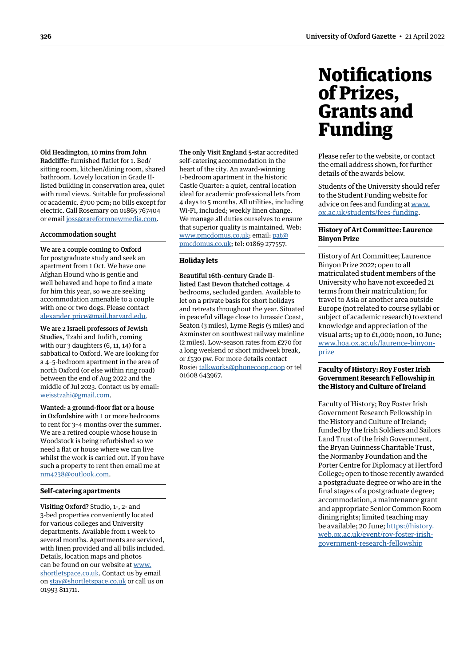<span id="page-13-0"></span>Old Headington, 10 mins from John Radcliffe: furnished flatlet for 1. Bed/ sitting room, kitchen/dining room, shared bathroom. Lovely location in Grade IIlisted building in conservation area, quiet with rural views. Suitable for professional or academic. £700 pcm; no bills except for electric. Call Rosemary on 01865 767404 or email [joss@rareformnewmedia.com.](mailto:joss%40rareformnewmedia.com?subject=)

#### Accommodation sought

We are a couple coming to Oxford for postgraduate study and seek an apartment from 1 Oct. We have one Afghan Hound who is gentle and well behaved and hope to find a mate for him this year, so we are seeking accommodation amenable to a couple with one or two dogs. Please contact [alexander\\_price@mail.harvard.edu.](mailto:alexander_price%40mail.harvard.edu?subject=)

We are 2 Israeli professors of Jewish Studies, Tzahi and Judith, coming with our 3 daughters (6, 11, 14) for a sabbatical to Oxford. We are looking for a 4–5-bedroom apartment in the area of north Oxford (or else within ring road) between the end of Aug 2022 and the middle of Jul 2023. Contact us by email: [weisstzahi@gmail.com](mailto:weisstzahi%40gmail.com?subject=).

Wanted: a ground-floor flat or a house in Oxfordshire with 1 or more bedrooms to rent for 3–4 months over the summer. We are a retired couple whose house in Woodstock is being refurbished so we need a flat or house where we can live whilst the work is carried out. If you have such a property to rent then email me at [nm4238@outlook.com.](mailto:nm4238%40outlook.com?subject=)

#### **Self-catering apartments**

Visiting Oxford? Studio, 1-, 2- and 3-bed properties conveniently located for various colleges and University departments. Available from 1 week to several months. Apartments are serviced, with linen provided and all bills included. Details, location maps and photos can be found on our website at [www.](http://www.shortletspace.co.uk) [shortletspace.co.uk.](http://www.shortletspace.co.uk) Contact us by email on [stay@shortletspace.co.uk](mailto:stay@shortletspace.co.uk) or call us on 01993 811711.

The only Visit England 5-star accredited self-catering accommodation in the heart of the city. An award-winning 1-bedroom apartment in the historic Castle Quarter: a quiet, central location ideal for academic professional lets from 4 days to 5 months. All utilities, including Wi-Fi, included; weekly linen change. We manage all duties ourselves to ensure that superior quality is maintained. Web: [www.pmcdomus.co.uk;](http://www.pmcdomus.co.uk) email: [pat@](mailto:pat%40pmcdomus.co.uk?subject=) [pmcdomus.co.uk](mailto:pat%40pmcdomus.co.uk?subject=); tel: 01869 277557.

#### **Holiday lets**

Beautiful 16th-century Grade IIlisted East Devon thatched cottage. 4 bedrooms, secluded garden. Available to let on a private basis for short holidays and retreats throughout the year. Situated in peaceful village close to Jurassic Coast, Seaton (3 miles), Lyme Regis (5 miles) and Axminster on southwest railway mainline (2 miles). Low-season rates from £270 for a long weekend or short midweek break, or £530 pw. For more details contact Rosie: [talkworks@phonecoop.coop](mailto:talkworks%40phonecoop.coop?subject=) or tel 01608 643967.

## **Notifications** of Prizes, Grants and Funding

Please refer to the website, or contact the email address shown, for further details of the awards below.

Students of the University should refer to the Student Funding website for advice on fees and funding at [www.](http://www.ox.ac.uk/students/fees-funding) [ox.ac.uk/students/fees-funding.](http://www.ox.ac.uk/students/fees-funding)

#### **History of Art Committee: Laurence Binyon Prize**

History of Art Committee; Laurence Binyon Prize 2022; open to all matriculated student members of the University who have not exceeded 21 terms from their matriculation; for travel to Asia or another area outside Europe (not related to course syllabi or subject of academic research) to extend knowledge and appreciation of the visual arts; up to £1,000; noon, 10 June; [www.hoa.ox.ac.uk/laurence-binyon](http://www.hoa.ox.ac.uk/laurence-binyon-prize)[prize](http://www.hoa.ox.ac.uk/laurence-binyon-prize)

#### **Faculty of History: Roy Foster Irish Government Research Fellowship in the History and Culture of Ireland**

Faculty of History; Roy Foster Irish Government Research Fellowship in the History and Culture of Ireland; funded by the Irish Soldiers and Sailors Land Trust of the Irish Government, the Bryan Guinness Charitable Trust, the Normanby Foundation and the Porter Centre for Diplomacy at Hertford College; open to those recently awarded a postgraduate degree or who are in the final stages of a postgraduate degree; accommodation, a maintenance grant and appropriate Senior Common Room dining rights; limited teaching may be available; 20 June; [https://history.](https://history.web.ox.ac.uk/event/roy-foster-irish-government-research-fellowship) [web.ox.ac.uk/event/roy-foster-irish](https://history.web.ox.ac.uk/event/roy-foster-irish-government-research-fellowship)[government-research-fellowship](https://history.web.ox.ac.uk/event/roy-foster-irish-government-research-fellowship)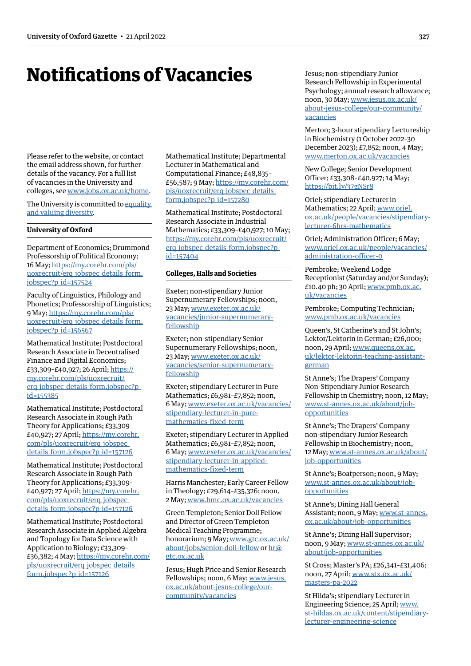## <span id="page-14-0"></span>Notifications of Vacancies

Please refer to the website, or contact the email address shown, for further details of the vacancy. For a full list of vacancies in the University and colleges, see [www.jobs.ox.ac.uk/home](http://www.jobs.ox.ac.uk/home).

The University is committed to equality [and valuing diversity](https://edu.admin.ox.ac.uk/home).

#### **University of Oxford**

Department of Economics; Drummond Professorship of Political Economy; 16 May; [https://my.corehr.com/pls/](https://my.corehr.com/pls/uoxrecruit/erq_jobspec_details_form.jobspec?p_id=157524) [uoxrecruit/erq\\_jobspec\\_details\\_form.](https://my.corehr.com/pls/uoxrecruit/erq_jobspec_details_form.jobspec?p_id=157524) [jobspec?p\\_id=157524](https://my.corehr.com/pls/uoxrecruit/erq_jobspec_details_form.jobspec?p_id=157524)

Faculty of Linguistics, Philology and Phonetics; Professorship of Linguistics; 9 May; [https://my.corehr.com/pls/](https://my.corehr.com/pls/uoxrecruit/erq_jobspec_details_form.jobspec?p_id=156567) [uoxrecruit/erq\\_jobspec\\_details\\_form.](https://my.corehr.com/pls/uoxrecruit/erq_jobspec_details_form.jobspec?p_id=156567) [jobspec?p\\_id=156567](https://my.corehr.com/pls/uoxrecruit/erq_jobspec_details_form.jobspec?p_id=156567)

Mathematical Institute; Postdoctoral Research Associate in Decentralised Finance and Digital Economics; £33,309–£40,927; 26 April; [https://](https://my.corehr.com/pls/uoxrecruit/erq_jobspec_details_form.jobspec?p_id=155385) [my.corehr.com/pls/uoxrecruit/](https://my.corehr.com/pls/uoxrecruit/erq_jobspec_details_form.jobspec?p_id=155385) erg\_jobspec\_details\_form.jobspec?p\_ [id=155385](https://my.corehr.com/pls/uoxrecruit/erq_jobspec_details_form.jobspec?p_id=155385)

Mathematical Institute; Postdoctoral Research Associate in Rough Path Theory for Applications; £33,309– £40,927; 27 April; [https://my.corehr.](https://my.corehr.com/pls/uoxrecruit/erq_jobspec_details_form.jobspec?p_id=157126) [com/pls/uoxrecruit/erq\\_jobspec\\_](https://my.corehr.com/pls/uoxrecruit/erq_jobspec_details_form.jobspec?p_id=157126) details form.jobspec?p id=157126

Mathematical Institute; Postdoctoral Research Associate in Rough Path Theory for Applications; £33,309– £40,927; 27 April; [https://my.corehr.](https://my.corehr.com/pls/uoxrecruit/erq_jobspec_details_form.jobspec?p_id=157126) [com/pls/uoxrecruit/erq\\_jobspec\\_](https://my.corehr.com/pls/uoxrecruit/erq_jobspec_details_form.jobspec?p_id=157126) details form.jobspec?p id=157126

Mathematical Institute; Postdoctoral Research Associate in Applied Algebra and Topology for Data Science with Application to Biology; £33,309– £36,382; 4 May; [https://my.corehr.com/](https://my.corehr.com/pls/uoxrecruit/erq_jobspec_details_form.jobspec?p_id=157126) [pls/uoxrecruit/erq\\_jobspec\\_details\\_](https://my.corehr.com/pls/uoxrecruit/erq_jobspec_details_form.jobspec?p_id=157126) [form.jobspec?p\\_id=157126](https://my.corehr.com/pls/uoxrecruit/erq_jobspec_details_form.jobspec?p_id=157126)

Mathematical Institute; Departmental Lecturer in Mathematical and Computational Finance; £48,835– £56,587; 9 May; [https://my.corehr.com/](https://my.corehr.com/pls/uoxrecruit/erq_jobspec_details_form.jobspec?p_id=157280) [pls/uoxrecruit/erq\\_jobspec\\_details\\_](https://my.corehr.com/pls/uoxrecruit/erq_jobspec_details_form.jobspec?p_id=157280) [form.jobspec?p\\_id=157280](https://my.corehr.com/pls/uoxrecruit/erq_jobspec_details_form.jobspec?p_id=157280)

Mathematical Institute; Postdoctoral Research Associate in Industrial Mathematics; £33,309–£40,927; 10 May; [https://my.corehr.com/pls/uoxrecruit/](https://my.corehr.com/pls/uoxrecruit/erq_jobspec_details_form.jobspec?p_id=157404) [erq\\_jobspec\\_details\\_form.jobspec?p\\_](https://my.corehr.com/pls/uoxrecruit/erq_jobspec_details_form.jobspec?p_id=157404) [id=157404](https://my.corehr.com/pls/uoxrecruit/erq_jobspec_details_form.jobspec?p_id=157404)

#### **Colleges, Halls and Societies**

Exeter; non-stipendiary Junior Supernumerary Fellowships; noon, 23 May; [www.exeter.ox.ac.uk/](http://www.exeter.ox.ac.uk/vacancies/junior-supernumerary-fellowship) [vacancies/junior-supernumerary](http://www.exeter.ox.ac.uk/vacancies/junior-supernumerary-fellowship)[fellowship](http://www.exeter.ox.ac.uk/vacancies/junior-supernumerary-fellowship)

Exeter; non-stipendiary Senior Supernumerary Fellowships; noon, 23 May; [www.exeter.ox.ac.uk/](http://www.exeter.ox.ac.uk/vacancies/senior-supernumerary-fellowship) [vacancies/senior-supernumerary](http://www.exeter.ox.ac.uk/vacancies/senior-supernumerary-fellowship)[fellowship](http://www.exeter.ox.ac.uk/vacancies/senior-supernumerary-fellowship)

Exeter; stipendiary Lecturer in Pure Mathematics; £6,981–£7,852; noon, 6 May; [www.exeter.ox.ac.uk/vacancies/](http://www.exeter.ox.ac.uk/vacancies/stipendiary-lecturer-in-pure-mathematics-fixed-term) [stipendiary-lecturer-in-pure](http://www.exeter.ox.ac.uk/vacancies/stipendiary-lecturer-in-pure-mathematics-fixed-term)[mathematics-fixed-term](http://www.exeter.ox.ac.uk/vacancies/stipendiary-lecturer-in-pure-mathematics-fixed-term)

Exeter; stipendiary Lecturer in Applied Mathematics; £6,981–£7,852; noon, 6 May; [www.exeter.ox.ac.uk/vacancies/](http://www.exeter.ox.ac.uk/vacancies/stipendiary-lecturer-in-applied-mathematics-fixed-term) [stipendiary-lecturer-in-applied](http://www.exeter.ox.ac.uk/vacancies/stipendiary-lecturer-in-applied-mathematics-fixed-term)[mathematics-fixed-term](http://www.exeter.ox.ac.uk/vacancies/stipendiary-lecturer-in-applied-mathematics-fixed-term)

Harris Manchester; Early Career Fellow in Theology; £29,614–£35,326; noon, 2 May; [www.hmc.ox.ac.uk/vacancies](http://www.hmc.ox.ac.uk/vacancies)

Green Templeton; Senior Doll Fellow and Director of Green Templeton Medical Teaching Programme; honorarium; 9 May; [www.gtc.ox.ac.uk/](http://www.gtc.ox.ac.uk/about/jobs/senior-doll-fellow) [about/jobs/senior-doll-fellow](http://www.gtc.ox.ac.uk/about/jobs/senior-doll-fellow) or [hr@](mailto:hr%40gtc.ox.ac.uk?subject=) [gtc.ox.ac.uk](mailto:hr%40gtc.ox.ac.uk?subject=)

Jesus; Hugh Price and Senior Research Fellowships; noon, 6 May; [www.jesus.](http://www.jesus.ox.ac.uk/about-jesus-college/our-community/vacancies) [ox.ac.uk/about-jesus-college/our](http://www.jesus.ox.ac.uk/about-jesus-college/our-community/vacancies)[community/vacancies](http://www.jesus.ox.ac.uk/about-jesus-college/our-community/vacancies)

Jesus; non-stipendiary Junior Research Fellowship in Experimental Psychology; annual research allowance; noon, 30 May; [www.jesus.ox.ac.uk/](http://www.jesus.ox.ac.uk/about-jesus-college/our-community/vacancies) [about-jesus-college/our-community/](http://www.jesus.ox.ac.uk/about-jesus-college/our-community/vacancies) [vacancies](http://www.jesus.ox.ac.uk/about-jesus-college/our-community/vacancies)

Merton; 3-hour stipendiary Lectureship in Biochemistry (1 October 2022–30 December 2023); £7,852; noon, 4 May; [www.merton.ox.ac.uk/vacancies](https://www.merton.ox.ac.uk/vacancies)

New College; Senior Development Officer; £33,308–£40,927; 14 May; <https://bit.ly/37gNSr8>

Oriel; stipendiary Lecturer in Mathematics; 22 April; [www.oriel.](http://www.oriel.ox.ac.uk/people/vacancies/stipendiary-lecturer-6hrs-mathematics) [ox.ac.uk/people/vacancies/stipendiary](http://www.oriel.ox.ac.uk/people/vacancies/stipendiary-lecturer-6hrs-mathematics)[lecturer-6hrs-mathematics](http://www.oriel.ox.ac.uk/people/vacancies/stipendiary-lecturer-6hrs-mathematics)

Oriel; Administration Officer; 6 May; [www.oriel.ox.ac.uk/people/vacancies/](http://www.oriel.ox.ac.uk/people/vacancies/administration-officer-0) [administration-officer-0](http://www.oriel.ox.ac.uk/people/vacancies/administration-officer-0)

Pembroke; Weekend Lodge Receptionist (Saturday and/or Sunday); £10.40 ph; 30 April; [www.pmb.ox.ac.](http://www.pmb.ox.ac.uk/vacancies/) [uk/vacancies](http://www.pmb.ox.ac.uk/vacancies/)

Pembroke; Computing Technician; [www.pmb.ox.ac.uk/vacancies](http://www.pmb.ox.ac.uk/vacancies)

Queen's, St Catherine's and St John's; Lektor/Lektorin in German; £26,000; noon, 29 April; [www.queens.ox.ac.](http://www.queens.ox.ac.uk/lektor-lektorin-teaching-assistant-german) [uk/lektor-lektorin-teaching-assistant](http://www.queens.ox.ac.uk/lektor-lektorin-teaching-assistant-german)[german](http://www.queens.ox.ac.uk/lektor-lektorin-teaching-assistant-german)

St Anne's; The Drapers' Company Non-Stipendiary Junior Research Fellowship in Chemistry; noon, 12 May; [www.st-annes.ox.ac.uk/about/job](http://www.st-annes.ox.ac.uk/about/job-opportunities)[opportunities](http://www.st-annes.ox.ac.uk/about/job-opportunities)

St Anne's; The Drapers' Company non-stipendiary Junior Research Fellowship in Biochemistry; noon, 12 May; [www.st-annes.ox.ac.uk/about/](http://www.st-annes.ox.ac.uk/about/job-opportunities) [job-opportunities](http://www.st-annes.ox.ac.uk/about/job-opportunities)

St Anne's; Boatperson; noon, 9 May; [www.st-annes.ox.ac.uk/about/job](http://www.st-annes.ox.ac.uk/about/job-opportunities)[opportunities](http://www.st-annes.ox.ac.uk/about/job-opportunities)

St Anne's; Dining Hall General Assistant; noon, 9 May; [www.st-annes.](http://www.st-annes.ox.ac.uk/about/job-opportunities) [ox.ac.uk/about/job-opportunities](http://www.st-annes.ox.ac.uk/about/job-opportunities)

St Anne's; Dining Hall Supervisor; noon, 9 May; [www.st-annes.ox.ac.uk/](http://www.st-annes.ox.ac.uk/about/job-opportunities) [about/job-opportunities](http://www.st-annes.ox.ac.uk/about/job-opportunities)

St Cross; Master's PA; £26,341–£31,406; noon, 27 April; [www.stx.ox.ac.uk/](http://www.stx.ox.ac.uk/masters-pa-2022) [masters-pa-2022](http://www.stx.ox.ac.uk/masters-pa-2022)

St Hilda's; stipendiary Lecturer in Engineering Science; 25 April; [www.](https://www.st-hildas.ox.ac.uk/content/stipendiary-lecturer-engineering-science) [st-hildas.ox.ac.uk/content/stipendiary](https://www.st-hildas.ox.ac.uk/content/stipendiary-lecturer-engineering-science)[lecturer-engineering-science](https://www.st-hildas.ox.ac.uk/content/stipendiary-lecturer-engineering-science)